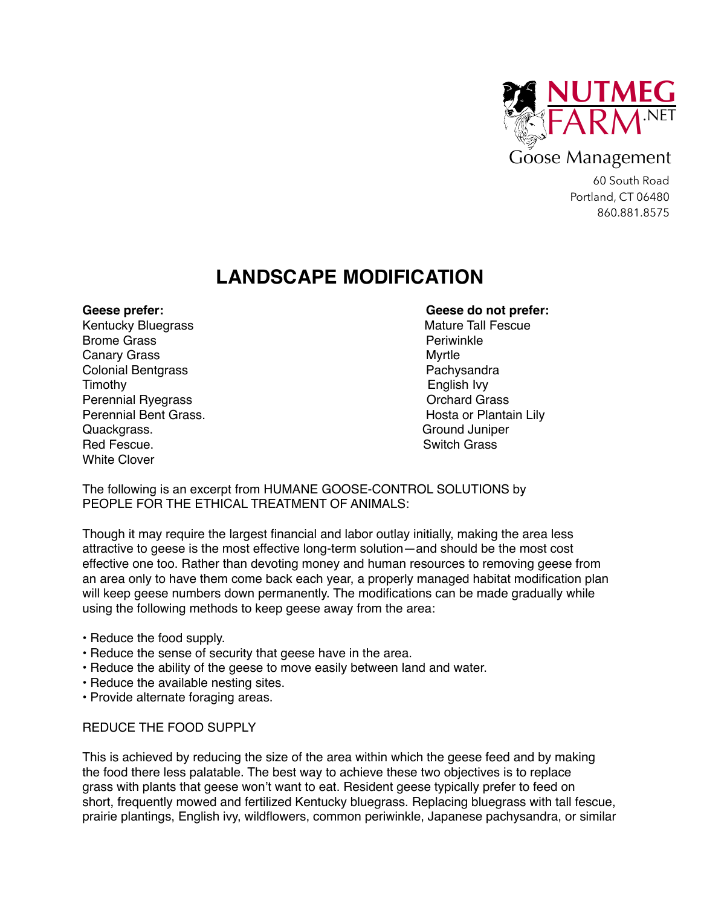

## Goose Management

60 South Road Portland, CT 06480 860.881.8575

# **LANDSCAPE MODIFICATION**

Kentucky Bluegrass **Mature Tall Fescue** Mature Tall Fescue Brome Grass **Perimeters Perimeters Perimeters** Canary Grass **Myrtle** Colonial Bentgrass **Pachysandra** Pachysandra Timothy English Ivy Perennial Ryegrass **Drama Perennial Ryegrass Orchard Grass** Perennial Bent Grass. The Contract of Plantain Lily and the Hosta or Plantain Lily Quackgrass. Ground Juniper Red Fescue. The Switch Grass of the Switch Grass of the Switch Grass of the Switch Grass of the Switch Grass of the Switch Grass of the Switch Grass of the Switch Grass of the Switch Grass of the Switch Grass of the Switch White Clover

### **Geese prefer: Geese do not prefer:**

The following is an excerpt from HUMANE GOOSE-CONTROL SOLUTIONS by PEOPLE FOR THE ETHICAL TREATMENT OF ANIMALS:

Though it may require the largest financial and labor outlay initially, making the area less attractive to geese is the most effective long-term solution—and should be the most cost effective one too. Rather than devoting money and human resources to removing geese from an area only to have them come back each year, a properly managed habitat modification plan will keep geese numbers down permanently. The modifications can be made gradually while using the following methods to keep geese away from the area:

- Reduce the food supply.
- Reduce the sense of security that geese have in the area.
- Reduce the ability of the geese to move easily between land and water.
- Reduce the available nesting sites.
- Provide alternate foraging areas.

#### REDUCE THE FOOD SUPPLY

This is achieved by reducing the size of the area within which the geese feed and by making the food there less palatable. The best way to achieve these two objectives is to replace grass with plants that geese won't want to eat. Resident geese typically prefer to feed on short, frequently mowed and fertilized Kentucky bluegrass. Replacing bluegrass with tall fescue, prairie plantings, English ivy, wildflowers, common periwinkle, Japanese pachysandra, or similar